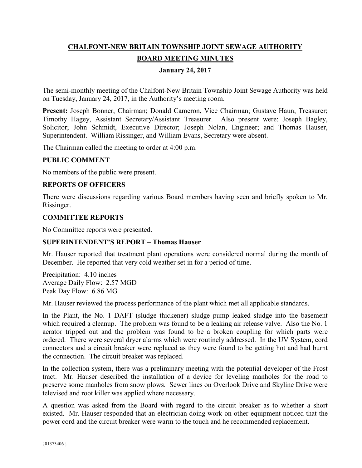# **CHALFONT-NEW BRITAIN TOWNSHIP JOINT SEWAGE AUTHORITY BOARD MEETING MINUTES**

## **January 24, 2017**

The semi-monthly meeting of the Chalfont-New Britain Township Joint Sewage Authority was held on Tuesday, January 24, 2017, in the Authority's meeting room.

**Present:** Joseph Bonner, Chairman; Donald Cameron, Vice Chairman; Gustave Haun, Treasurer; Timothy Hagey, Assistant Secretary/Assistant Treasurer. Also present were: Joseph Bagley, Solicitor; John Schmidt, Executive Director; Joseph Nolan, Engineer; and Thomas Hauser, Superintendent. William Rissinger, and William Evans, Secretary were absent.

The Chairman called the meeting to order at 4:00 p.m.

#### **PUBLIC COMMENT**

No members of the public were present.

## **REPORTS OF OFFICERS**

There were discussions regarding various Board members having seen and briefly spoken to Mr. Rissinger.

#### **COMMITTEE REPORTS**

No Committee reports were presented.

## **SUPERINTENDENT'S REPORT – Thomas Hauser**

Mr. Hauser reported that treatment plant operations were considered normal during the month of December. He reported that very cold weather set in for a period of time.

Precipitation: 4.10 inches Average Daily Flow: 2.57 MGD Peak Day Flow: 6.86 MG

Mr. Hauser reviewed the process performance of the plant which met all applicable standards.

In the Plant, the No. 1 DAFT (sludge thickener) sludge pump leaked sludge into the basement which required a cleanup. The problem was found to be a leaking air release valve. Also the No. 1 aerator tripped out and the problem was found to be a broken coupling for which parts were ordered. There were several dryer alarms which were routinely addressed. In the UV System, cord connectors and a circuit breaker were replaced as they were found to be getting hot and had burnt the connection. The circuit breaker was replaced.

In the collection system, there was a preliminary meeting with the potential developer of the Frost tract. Mr. Hauser described the installation of a device for leveling manholes for the road to preserve some manholes from snow plows. Sewer lines on Overlook Drive and Skyline Drive were televised and root killer was applied where necessary.

A question was asked from the Board with regard to the circuit breaker as to whether a short existed. Mr. Hauser responded that an electrician doing work on other equipment noticed that the power cord and the circuit breaker were warm to the touch and he recommended replacement.